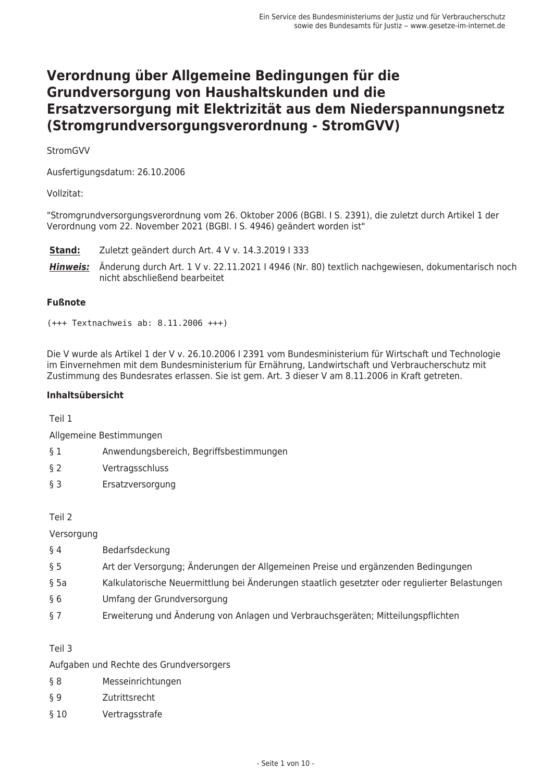# Verordnung über Allgemeine Bedingungen für die Grundversorgung von Haushaltskunden und die Ersatzversorgung mit Elektrizität aus dem Niederspannungsnetz (Stromgrundversorgungsverordnung - StromGVV)

StromGVV

Ausfertigungsdatum: 26.10.2006

Vollzitat:

"Stromgrundversorgungsverordnung vom 26. Oktober 2006 (BGBI. I S. 2391), die zuletzt durch Artikel 1 der Verordnung vom 22. November 2021 (BGBI. I S. 4946) geändert worden ist"

Stand: Zuletzt geändert durch Art. 4 V v. 14.3.2019 I 333

Hinweis: Änderung durch Art. 1 V v. 22.11.2021 | 4946 (Nr. 80) textlich nachgewiesen, dokumentarisch noch nicht abschließend bearbeitet

### **Fußnote**

 $(+++$  Textnachweis ab: 8.11.2006  $+++)$ 

Die V wurde als Artikel 1 der V v. 26.10.2006 I 2391 vom Bundesministerium für Wirtschaft und Technologie im Einvernehmen mit dem Bundesministerium für Ernährung, Landwirtschaft und Verbraucherschutz mit Zustimmung des Bundesrates erlassen. Sie ist gem. Art. 3 dieser V am 8.11.2006 in Kraft getreten.

#### Inhaltsübersicht

Teil 1

Allgemeine Bestimmungen

- Anwendungsbereich, Begriffsbestimmungen  $\delta$  1
- $\S 2$ Vertragsschluss
- $63$ Ersatzversorgung

Teil 2

Versorgung

- $§$ 4 Bedarfsdeckung
- Art der Versorgung: Änderungen der Allgemeinen Preise und ergänzenden Bedingungen  $\delta$  5
- Kalkulatorische Neuermittlung bei Änderungen staatlich gesetzter oder regulierter Belastungen  $§ 5a$
- $66$ Umfang der Grundversorgung
- $\S$  7 Erweiterung und Änderung von Anlagen und Verbrauchsgeräten; Mitteilungspflichten

#### Teil 3

Aufgaben und Rechte des Grundversorgers

- $88$ Messeinrichtungen
- $\S$  9 Zutrittsrecht
- Vertragsstrafe  $§10$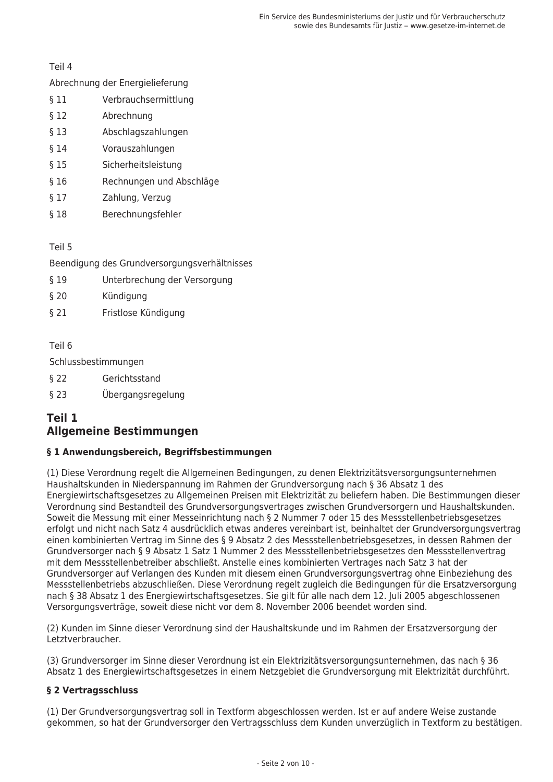Teil 4

### Abrechnung der Energielieferung

- $$11$ Verbrauchsermittlung
- $§ 12$ Abrechnung
- $§$  13 Abschlagszahlungen
- $§14$ Vorauszahlungen
- $$15$ Sicherheitsleistung
- $$16$ Rechnungen und Abschläge
- Zahlung, Verzug  $§ 17$
- $$18$ Berechnungsfehler

Teil 5

Beendigung des Grundversorgungsverhältnisses

- $§$  19 Unterbrechung der Versorgung
- $$20$ Kündiauna
- Fristlose Kündigung  $$21$

Teil 6

Schlussbestimmungen

- $$22$ Gerichtsstand
- $$23$ Übergangsregelung

# Teil 1 **Allgemeine Bestimmungen**

# § 1 Anwendungsbereich, Begriffsbestimmungen

(1) Diese Verordnung regelt die Allgemeinen Bedingungen, zu denen Elektrizitätsversorgungsunternehmen Haushaltskunden in Niederspannung im Rahmen der Grundversorgung nach § 36 Absatz 1 des Energiewirtschaftsgesetzes zu Allgemeinen Preisen mit Elektrizität zu beliefern haben. Die Bestimmungen dieser Verordnung sind Bestandteil des Grundversorgungsvertrages zwischen Grundversorgern und Haushaltskunden. Soweit die Messung mit einer Messeinrichtung nach § 2 Nummer 7 oder 15 des Messstellenbetriebsgesetzes erfolgt und nicht nach Satz 4 ausdrücklich etwas anderes vereinbart ist, beinhaltet der Grundversorgungsvertrag einen kombinierten Vertrag im Sinne des § 9 Absatz 2 des Messstellenbetriebsgesetzes, in dessen Rahmen der Grundversorger nach § 9 Absatz 1 Satz 1 Nummer 2 des Messstellenbetriebsgesetzes den Messstellenvertrag mit dem Messstellenbetreiber abschließt. Anstelle eines kombinierten Vertrages nach Satz 3 hat der Grundversorger auf Verlangen des Kunden mit diesem einen Grundversorgungsvertrag ohne Einbeziehung des Messstellenbetriebs abzuschließen. Diese Verordnung regelt zugleich die Bedingungen für die Ersatzversorgung nach § 38 Absatz 1 des Energiewirtschaftsgesetzes. Sie gilt für alle nach dem 12. Juli 2005 abgeschlossenen Versorgungsverträge, soweit diese nicht vor dem 8. November 2006 beendet worden sind.

(2) Kunden im Sinne dieser Verordnung sind der Haushaltskunde und im Rahmen der Ersatzversorgung der Letztverbraucher.

(3) Grundversorger im Sinne dieser Verordnung ist ein Elektrizitätsversorgungsunternehmen, das nach § 36 Absatz 1 des Energiewirtschaftsgesetzes in einem Netzgebiet die Grundversorgung mit Elektrizität durchführt.

# § 2 Vertragsschluss

(1) Der Grundversorgungsvertrag soll in Textform abgeschlossen werden. Ist er auf andere Weise zustande gekommen, so hat der Grundversorger den Vertragsschluss dem Kunden unverzüglich in Textform zu bestätigen.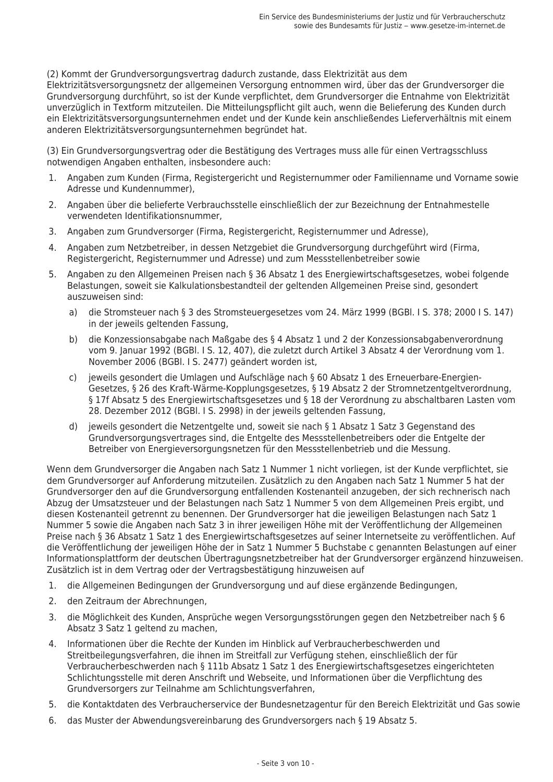(2) Kommt der Grundversorgungsvertrag dadurch zustande, dass Elektrizität aus dem Elektrizitätsversorgungsnetz der allgemeinen Versorgung entnommen wird, über das der Grundversorger die Grundversorgung durchführt, so ist der Kunde verpflichtet, dem Grundversorger die Entnahme von Elektrizität unverzüglich in Textform mitzuteilen. Die Mitteilungspflicht gilt auch, wenn die Belieferung des Kunden durch ein Elektrizitätsversorgungsunternehmen endet und der Kunde kein anschließendes Lieferverhältnis mit einem anderen Elektrizitätsversorgungsunternehmen begründet hat.

(3) Ein Grundversorgungsvertrag oder die Bestätigung des Vertrages muss alle für einen Vertragsschluss notwendigen Angaben enthalten, insbesondere auch:

- Angaben zum Kunden (Firma, Registergericht und Registernummer oder Familienname und Vorname sowie  $\mathbf{1}$ . Adresse und Kundennummer),
- 2. Angaben über die belieferte Verbrauchsstelle einschließlich der zur Bezeichnung der Entnahmestelle verwendeten Identifikationsnummer,
- 3. Angaben zum Grundversorger (Firma, Registergericht, Registernummer und Adresse).
- 4. Angaben zum Netzbetreiber, in dessen Netzgebiet die Grundversorgung durchgeführt wird (Firma, Registergericht, Registernummer und Adresse) und zum Messstellenbetreiber sowie
- 5. Angaben zu den Allgemeinen Preisen nach § 36 Absatz 1 des Energiewirtschaftsgesetzes, wobei folgende Belastungen, soweit sie Kalkulationsbestandteil der geltenden Allgemeinen Preise sind, gesondert auszuweisen sind:
	- a) die Stromsteuer nach § 3 des Stromsteuergesetzes vom 24. März 1999 (BGBI. I S. 378; 2000 I S. 147) in der jeweils geltenden Fassung,
	- $b)$ die Konzessionsabgabe nach Maßgabe des § 4 Absatz 1 und 2 der Konzessionsabgabenverordnung vom 9. Januar 1992 (BGBI. I S. 12, 407), die zuletzt durch Artikel 3 Absatz 4 der Verordnung vom 1. November 2006 (BGBI. I S. 2477) geändert worden ist,
	- c) jeweils gesondert die Umlagen und Aufschläge nach § 60 Absatz 1 des Erneuerbare-Energien-Gesetzes, § 26 des Kraft-Wärme-Kopplungsgesetzes, § 19 Absatz 2 der Stromnetzentgeltverordnung, § 17f Absatz 5 des Energiewirtschaftsgesetzes und § 18 der Verordnung zu abschaltbaren Lasten vom 28. Dezember 2012 (BGBI. I S. 2998) in der jeweils geltenden Fassung,
	- d) jeweils gesondert die Netzentgelte und, soweit sie nach § 1 Absatz 1 Satz 3 Gegenstand des Grundversorgungsvertrages sind, die Entgelte des Messstellenbetreibers oder die Entgelte der Betreiber von Energieversorgungsnetzen für den Messstellenbetrieb und die Messung.

Wenn dem Grundversorger die Angaben nach Satz 1 Nummer 1 nicht vorliegen, ist der Kunde verpflichtet, sie dem Grundversorger auf Anforderung mitzuteilen. Zusätzlich zu den Angaben nach Satz 1 Nummer 5 hat der Grundversorger den auf die Grundversorgung entfallenden Kostenanteil anzugeben, der sich rechnerisch nach Abzug der Umsatzsteuer und der Belastungen nach Satz 1 Nummer 5 von dem Allgemeinen Preis ergibt, und diesen Kostenanteil getrennt zu benennen. Der Grundversorger hat die jeweiligen Belastungen nach Satz 1 Nummer 5 sowie die Angaben nach Satz 3 in ihrer jeweiligen Höhe mit der Veröffentlichung der Allgemeinen Preise nach § 36 Absatz 1 Satz 1 des Energiewirtschaftsgesetzes auf seiner Internetseite zu veröffentlichen. Auf die Veröffentlichung der jeweiligen Höhe der in Satz 1 Nummer 5 Buchstabe c genannten Belastungen auf einer Informationsplattform der deutschen Übertragungsnetzbetreiber hat der Grundversorger ergänzend hinzuweisen. Zusätzlich ist in dem Vertrag oder der Vertragsbestätigung hinzuweisen auf

- $\mathbf{1}$ . die Allgemeinen Bedingungen der Grundversorgung und auf diese ergänzende Bedingungen,
- den Zeitraum der Abrechnungen.  $2.$
- die Möglichkeit des Kunden, Ansprüche wegen Versorgungsstörungen gegen den Netzbetreiber nach § 6  $\mathcal{R}$ Absatz 3 Satz 1 geltend zu machen,
- $4.$ Informationen über die Rechte der Kunden im Hinblick auf Verbraucherbeschwerden und Streitbeilegungsverfahren, die ihnen im Streitfall zur Verfügung stehen, einschließlich der für Verbraucherbeschwerden nach § 111b Absatz 1 Satz 1 des Energiewirtschaftsgesetzes eingerichteten Schlichtungsstelle mit deren Anschrift und Webseite, und Informationen über die Verpflichtung des Grundversorgers zur Teilnahme am Schlichtungsverfahren,
- 5. die Kontaktdaten des Verbraucherservice der Bundesnetzagentur für den Bereich Elektrizität und Gas sowie
- 6 das Muster der Abwendungsvereinbarung des Grundversorgers nach § 19 Absatz 5.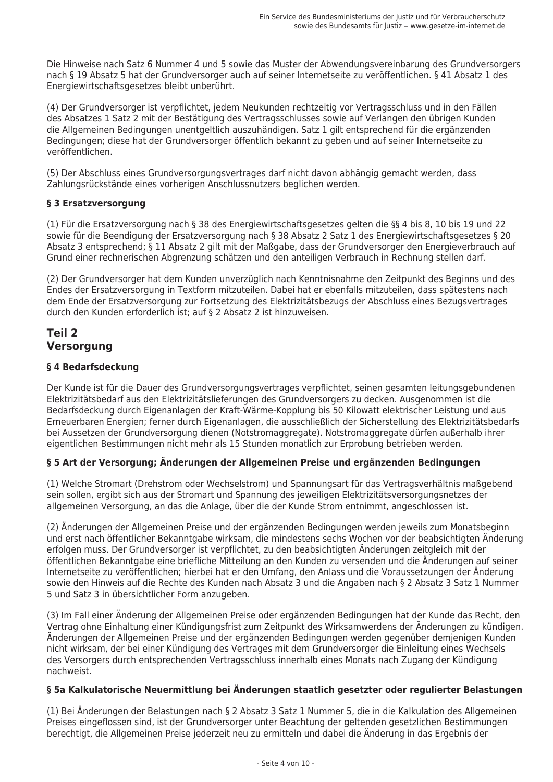Die Hinweise nach Satz 6 Nummer 4 und 5 sowie das Muster der Abwendungsvereinbarung des Grundversorgers nach § 19 Absatz 5 hat der Grundversorger auch auf seiner Internetseite zu veröffentlichen. § 41 Absatz 1 des Energiewirtschaftsgesetzes bleibt unberührt.

(4) Der Grundversorger ist verpflichtet, jedem Neukunden rechtzeitig vor Vertragsschluss und in den Fällen des Absatzes 1 Satz 2 mit der Bestätigung des Vertragsschlusses sowie auf Verlangen den übrigen Kunden die Allgemeinen Bedingungen unentgeltlich auszuhändigen. Satz 1 gilt entsprechend für die ergänzenden Bedingungen; diese hat der Grundversorger öffentlich bekannt zu geben und auf seiner Internetseite zu veröffentlichen.

(5) Der Abschluss eines Grundversorgungsvertrages darf nicht davon abhängig gemacht werden, dass Zahlungsrückstände eines vorherigen Anschlussnutzers beglichen werden.

# § 3 Ersatzversorgung

(1) Für die Ersatzversorgung nach § 38 des Energiewirtschaftsgesetzes gelten die §§ 4 bis 8, 10 bis 19 und 22 sowie für die Beendigung der Ersatzversorgung nach § 38 Absatz 2 Satz 1 des Energiewirtschaftsgesetzes § 20 Absatz 3 entsprechend; § 11 Absatz 2 gilt mit der Maßgabe, dass der Grundversorger den Energieverbrauch auf Grund einer rechnerischen Abgrenzung schätzen und den anteiligen Verbrauch in Rechnung stellen darf.

(2) Der Grundversorger hat dem Kunden unverzüglich nach Kenntnisnahme den Zeitpunkt des Beginns und des Endes der Ersatzversorgung in Textform mitzuteilen. Dabei hat er ebenfalls mitzuteilen, dass spätestens nach dem Ende der Ersatzversorgung zur Fortsetzung des Elektrizitätsbezugs der Abschluss eines Bezugsvertrages durch den Kunden erforderlich ist: auf § 2 Absatz 2 ist hinzuweisen.

# **Teil 2 Versorgung**

# § 4 Bedarfsdeckung

Der Kunde ist für die Dauer des Grundversorgungsvertrages verpflichtet, seinen gesamten leitungsgebundenen Elektrizitätsbedarf aus den Elektrizitätslieferungen des Grundversorgers zu decken. Ausgenommen ist die Bedarfsdeckung durch Eigenanlagen der Kraft-Wärme-Kopplung bis 50 Kilowatt elektrischer Leistung und aus Erneuerbaren Energien; ferner durch Eigenanlagen, die ausschließlich der Sicherstellung des Elektrizitätsbedarfs bei Aussetzen der Grundversorgung dienen (Notstromaggregate). Notstromaggregate dürfen außerhalb ihrer eigentlichen Bestimmungen nicht mehr als 15 Stunden monatlich zur Erprobung betrieben werden.

# § 5 Art der Versorgung; Änderungen der Allgemeinen Preise und ergänzenden Bedingungen

(1) Welche Stromart (Drehstrom oder Wechselstrom) und Spannungsart für das Vertragsverhältnis maßgebend sein sollen, ergibt sich aus der Stromart und Spannung des jeweiligen Elektrizitätsversorgungsnetzes der allgemeinen Versorgung, an das die Anlage, über die der Kunde Strom entnimmt, angeschlossen ist.

(2) Änderungen der Allgemeinen Preise und der ergänzenden Bedingungen werden jeweils zum Monatsbeginn und erst nach öffentlicher Bekanntgabe wirksam, die mindestens sechs Wochen vor der beabsichtigten Änderung erfolgen muss. Der Grundversorger ist verpflichtet, zu den beabsichtigten Änderungen zeitgleich mit der öffentlichen Bekanntgabe eine briefliche Mitteilung an den Kunden zu versenden und die Änderungen auf seiner Internetseite zu veröffentlichen; hierbei hat er den Umfang, den Anlass und die Voraussetzungen der Änderung sowie den Hinweis auf die Rechte des Kunden nach Absatz 3 und die Angaben nach § 2 Absatz 3 Satz 1 Nummer 5 und Satz 3 in übersichtlicher Form anzugeben.

(3) Im Fall einer Änderung der Allgemeinen Preise oder ergänzenden Bedingungen hat der Kunde das Recht, den Vertrag ohne Einhaltung einer Kündigungsfrist zum Zeitpunkt des Wirksamwerdens der Änderungen zu kündigen. Änderungen der Allgemeinen Preise und der ergänzenden Bedingungen werden gegenüber demjenigen Kunden nicht wirksam, der bei einer Kündigung des Vertrages mit dem Grundversorger die Einleitung eines Wechsels des Versorgers durch entsprechenden Vertragsschluss innerhalb eines Monats nach Zugang der Kündigung nachweist.

#### § 5a Kalkulatorische Neuermittlung bei Änderungen staatlich gesetzter oder regulierter Belastungen

(1) Bei Änderungen der Belastungen nach § 2 Absatz 3 Satz 1 Nummer 5, die in die Kalkulation des Allgemeinen Preises eingeflossen sind, ist der Grundversorger unter Beachtung der geltenden gesetzlichen Bestimmungen berechtigt, die Allgemeinen Preise jederzeit neu zu ermitteln und dabei die Änderung in das Ergebnis der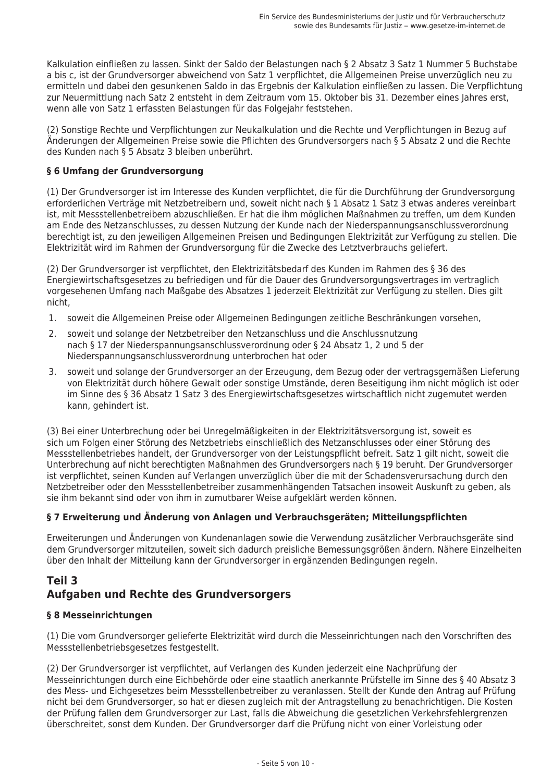Kalkulation einfließen zu lassen. Sinkt der Saldo der Belastungen nach § 2 Absatz 3 Satz 1 Nummer 5 Buchstabe a bis c, ist der Grundversorger abweichend von Satz 1 verpflichtet, die Allgemeinen Preise unverzüglich neu zu ermitteln und dabei den gesunkenen Saldo in das Ergebnis der Kalkulation einfließen zu lassen. Die Verpflichtung zur Neuermittlung nach Satz 2 entsteht in dem Zeitraum vom 15. Oktober bis 31. Dezember eines Jahres erst, wenn alle von Satz 1 erfassten Belastungen für das Folgejahr feststehen.

(2) Sonstige Rechte und Verpflichtungen zur Neukalkulation und die Rechte und Verpflichtungen in Bezug auf Anderungen der Allgemeinen Preise sowie die Pflichten des Grundversorgers nach § 5 Absatz 2 und die Rechte des Kunden nach § 5 Absatz 3 bleiben unberührt.

# § 6 Umfang der Grundversorgung

(1) Der Grundversorger ist im Interesse des Kunden verpflichtet, die für die Durchführung der Grundversorgung erforderlichen Verträge mit Netzbetreibern und, soweit nicht nach § 1 Absatz 1 Satz 3 etwas anderes vereinbart ist, mit Messstellenbetreibern abzuschließen. Er hat die ihm möglichen Maßnahmen zu treffen, um dem Kunden am Ende des Netzanschlusses, zu dessen Nutzung der Kunde nach der Niederspannungsanschlussverordnung berechtigt ist, zu den jeweiligen Allgemeinen Preisen und Bedingungen Elektrizität zur Verfügung zu stellen. Die Elektrizität wird im Rahmen der Grundversorgung für die Zwecke des Letztverbrauchs geliefert.

(2) Der Grundversorger ist verpflichtet, den Elektrizitätsbedarf des Kunden im Rahmen des § 36 des Energiewirtschaftsgesetzes zu befriedigen und für die Dauer des Grundversorgungsvertrages im vertraglich vorgesehenen Umfang nach Maßgabe des Absatzes 1 jederzeit Elektrizität zur Verfügung zu stellen. Dies gilt nicht.

- 1. soweit die Allgemeinen Preise oder Allgemeinen Bedingungen zeitliche Beschränkungen vorsehen,
- 2. soweit und solange der Netzbetreiber den Netzanschluss und die Anschlussnutzung nach § 17 der Niederspannungsanschlussverordnung oder § 24 Absatz 1, 2 und 5 der Niederspannungsanschlussverordnung unterbrochen hat oder
- soweit und solange der Grundversorger an der Erzeugung, dem Bezug oder der vertragsgemäßen Lieferung  $\mathcal{B}_{\mathcal{A}}$ von Elektrizität durch höhere Gewalt oder sonstige Umstände, deren Beseitigung ihm nicht möglich ist oder im Sinne des § 36 Absatz 1 Satz 3 des Energiewirtschaftsgesetzes wirtschaftlich nicht zugemutet werden kann, gehindert ist.

(3) Bei einer Unterbrechung oder bei Unregelmäßigkeiten in der Elektrizitätsversorgung ist, soweit es sich um Folgen einer Störung des Netzbetriebs einschließlich des Netzanschlusses oder einer Störung des Messstellenbetriebes handelt, der Grundversorger von der Leistungspflicht befreit. Satz 1 gilt nicht, soweit die Unterbrechung auf nicht berechtigten Maßnahmen des Grundversorgers nach § 19 beruht. Der Grundversorger ist verpflichtet, seinen Kunden auf Verlangen unverzüglich über die mit der Schadensverursachung durch den Netzbetreiber oder den Messstellenbetreiber zusammenhängenden Tatsachen insoweit Auskunft zu geben, als sie ihm bekannt sind oder von ihm in zumutbarer Weise aufgeklärt werden können.

# § 7 Erweiterung und Änderung von Anlagen und Verbrauchsgeräten; Mitteilungspflichten

Erweiterungen und Änderungen von Kundenanlagen sowie die Verwendung zusätzlicher Verbrauchsgeräte sind dem Grundversorger mitzuteilen, soweit sich dadurch preisliche Bemessungsgrößen ändern. Nähere Einzelheiten über den Inhalt der Mitteilung kann der Grundversorger in ergänzenden Bedingungen regeln.

# Teil 3 Aufgaben und Rechte des Grundversorgers

# § 8 Messeinrichtungen

(1) Die vom Grundversorger gelieferte Elektrizität wird durch die Messeinrichtungen nach den Vorschriften des Messstellenbetriebsgesetzes festgestellt.

(2) Der Grundversorger ist verpflichtet, auf Verlangen des Kunden jederzeit eine Nachprüfung der Messeinrichtungen durch eine Eichbehörde oder eine staatlich anerkannte Prüfstelle im Sinne des § 40 Absatz 3 des Mess- und Eichgesetzes beim Messstellenbetreiber zu veranlassen. Stellt der Kunde den Antrag auf Prüfung nicht bei dem Grundversorger, so hat er diesen zugleich mit der Antragstellung zu benachrichtigen. Die Kosten der Prüfung fallen dem Grundversorger zur Last, falls die Abweichung die gesetzlichen Verkehrsfehlergrenzen überschreitet, sonst dem Kunden. Der Grundversorger darf die Prüfung nicht von einer Vorleistung oder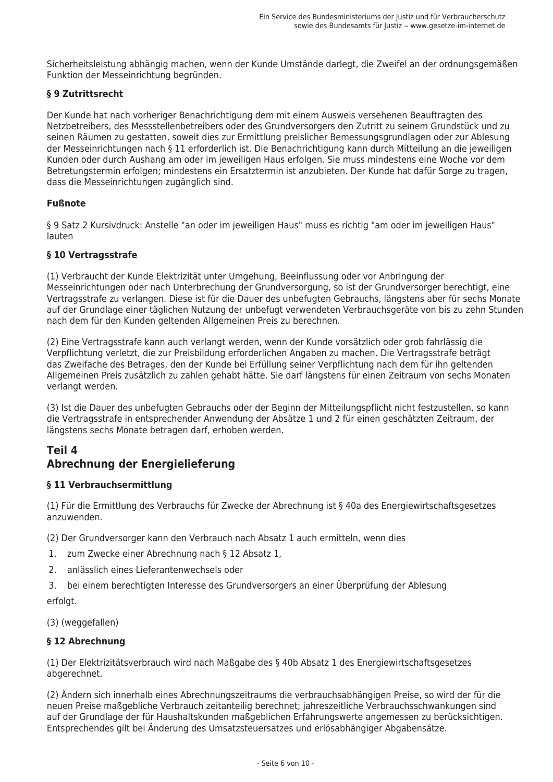Sicherheitsleistung abhängig machen, wenn der Kunde Umstände darlegt, die Zweifel an der ordnungsgemäßen Funktion der Messeinrichtung begründen.

### § 9 Zutrittsrecht

Der Kunde hat nach vorheriger Benachrichtigung dem mit einem Ausweis versehenen Beauftragten des Netzbetreibers, des Messstellenbetreibers oder des Grundversorgers den Zutritt zu seinem Grundstück und zu seinen Räumen zu gestatten, soweit dies zur Ermittlung preislicher Bemessungsgrundlagen oder zur Ablesung der Messeinrichtungen nach § 11 erforderlich ist. Die Benachrichtigung kann durch Mitteilung an die jeweiligen Kunden oder durch Aushang am oder im jeweiligen Haus erfolgen. Sie muss mindestens eine Woche vor dem Betretungstermin erfolgen; mindestens ein Ersatztermin ist anzubieten. Der Kunde hat dafür Sorge zu tragen, dass die Messeinrichtungen zugänglich sind.

### **Fußnote**

§ 9 Satz 2 Kursivdruck: Anstelle "an oder im jeweiligen Haus" muss es richtig "am oder im jeweiligen Haus" lauten

### § 10 Vertragsstrafe

(1) Verbraucht der Kunde Elektrizität unter Umgehung, Beeinflussung oder vor Anbringung der Messeinrichtungen oder nach Unterbrechung der Grundversorgung, so ist der Grundversorger berechtigt, eine Vertragsstrafe zu verlangen. Diese ist für die Dauer des unbefugten Gebrauchs, längstens aber für sechs Monate auf der Grundlage einer täglichen Nutzung der unbefugt verwendeten Verbrauchsgeräte von bis zu zehn Stunden nach dem für den Kunden geltenden Allgemeinen Preis zu berechnen.

(2) Eine Vertragsstrafe kann auch verlangt werden, wenn der Kunde vorsätzlich oder grob fahrlässig die Verpflichtung verletzt, die zur Preisbildung erforderlichen Angaben zu machen. Die Vertragsstrafe beträgt das Zweifache des Betrages, den der Kunde bei Erfüllung seiner Verpflichtung nach dem für ihn geltenden Allgemeinen Preis zusätzlich zu zahlen gehabt hätte. Sie darf längstens für einen Zeitraum von sechs Monaten verlangt werden.

(3) Ist die Dauer des unbefugten Gebrauchs oder der Beginn der Mitteilungspflicht nicht festzustellen, so kann die Vertragsstrafe in entsprechender Anwendung der Absätze 1 und 2 für einen geschätzten Zeitraum, der längstens sechs Monate betragen darf, erhoben werden.

# Teil 4 Abrechnung der Energielieferung

#### § 11 Verbrauchsermittlung

(1) Für die Ermittlung des Verbrauchs für Zwecke der Abrechnung ist § 40a des Energiewirtschaftsgesetzes anzuwenden.

(2) Der Grundversorger kann den Verbrauch nach Absatz 1 auch ermitteln, wenn dies

- 1. zum Zwecke einer Abrechnung nach § 12 Absatz 1,
- 2. anlässlich eines Lieferantenwechsels oder
- bei einem berechtigten Interesse des Grundversorgers an einer Überprüfung der Ablesung 3. erfolat.

(3) (weggefallen)

#### § 12 Abrechnung

(1) Der Elektrizitätsverbrauch wird nach Maßgabe des § 40b Absatz 1 des Energiewirtschaftsgesetzes abgerechnet.

(2) Ändern sich innerhalb eines Abrechnungszeitraums die verbrauchsabhängigen Preise, so wird der für die neuen Preise maßgebliche Verbrauch zeitanteilig berechnet; jahreszeitliche Verbrauchsschwankungen sind auf der Grundlage der für Haushaltskunden maßgeblichen Erfahrungswerte angemessen zu berücksichtigen. Entsprechendes gilt bei Änderung des Umsatzsteuersatzes und erlösabhängiger Abgabensätze.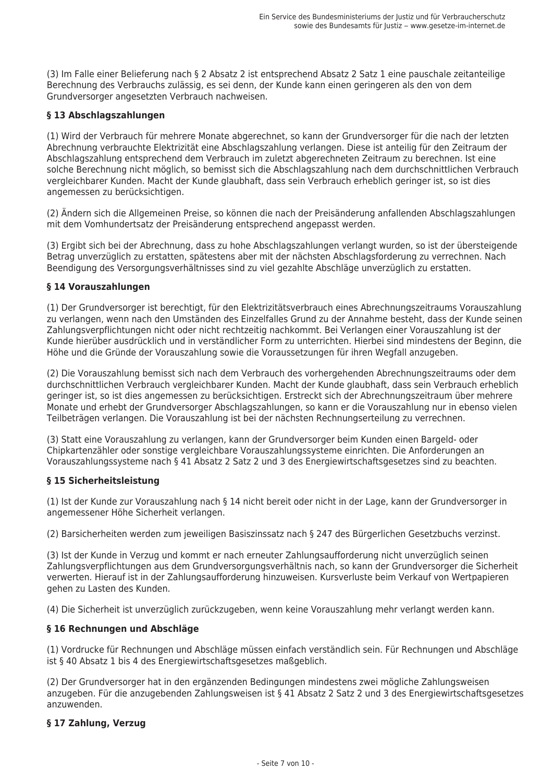(3) Im Falle einer Belieferung nach § 2 Absatz 2 ist entsprechend Absatz 2 Satz 1 eine pauschale zeitanteilige Berechnung des Verbrauchs zulässig, es sei denn, der Kunde kann einen geringeren als den von dem Grundversorger angesetzten Verbrauch nachweisen.

### § 13 Abschlagszahlungen

(1) Wird der Verbrauch für mehrere Monate abgerechnet, so kann der Grundversorger für die nach der letzten Abrechnung verbrauchte Elektrizität eine Abschlagszahlung verlangen. Diese ist anteilig für den Zeitraum der Abschlagszahlung entsprechend dem Verbrauch im zuletzt abgerechneten Zeitraum zu berechnen. Ist eine solche Berechnung nicht möglich, so bemisst sich die Abschlagszahlung nach dem durchschnittlichen Verbrauch vergleichbarer Kunden. Macht der Kunde glaubhaft, dass sein Verbrauch erheblich geringer ist, so ist dies angemessen zu berücksichtigen.

(2) Ändern sich die Allgemeinen Preise, so können die nach der Preisänderung anfallenden Abschlagszahlungen mit dem Vomhundertsatz der Preisänderung entsprechend angepasst werden.

(3) Ergibt sich bei der Abrechnung, dass zu hohe Abschlagszahlungen verlangt wurden, so ist der übersteigende Betrag unverzüglich zu erstatten, spätestens aber mit der nächsten Abschlagsforderung zu verrechnen. Nach Beendigung des Versorgungsverhältnisses sind zu viel gezahlte Abschläge unverzüglich zu erstatten.

#### § 14 Vorauszahlungen

(1) Der Grundversorger ist berechtigt, für den Elektrizitätsverbrauch eines Abrechnungszeitraums Vorauszahlung zu verlangen, wenn nach den Umständen des Einzelfalles Grund zu der Annahme besteht, dass der Kunde seinen Zahlungsverpflichtungen nicht oder nicht rechtzeitig nachkommt. Bei Verlangen einer Vorauszahlung ist der Kunde hierüber ausdrücklich und in verständlicher Form zu unterrichten. Hierbei sind mindestens der Beginn, die Höhe und die Gründe der Vorauszahlung sowie die Voraussetzungen für ihren Wegfall anzugeben.

(2) Die Vorauszahlung bemisst sich nach dem Verbrauch des vorhergehenden Abrechnungszeitraums oder dem durchschnittlichen Verbrauch vergleichbarer Kunden. Macht der Kunde glaubhaft, dass sein Verbrauch erheblich geringer ist, so ist dies angemessen zu berücksichtigen. Erstreckt sich der Abrechnungszeitraum über mehrere Monate und erhebt der Grundversorger Abschlagszahlungen, so kann er die Vorauszahlung nur in ebenso vielen Teilbeträgen verlangen. Die Vorauszahlung ist bei der nächsten Rechnungserteilung zu verrechnen.

(3) Statt eine Vorauszahlung zu verlangen, kann der Grundversorger beim Kunden einen Bargeld- oder Chipkartenzähler oder sonstige vergleichbare Vorauszahlungssysteme einrichten. Die Anforderungen an Vorauszahlungssysteme nach § 41 Absatz 2 Satz 2 und 3 des Energiewirtschaftsgesetzes sind zu beachten.

#### § 15 Sicherheitsleistung

(1) Ist der Kunde zur Vorauszahlung nach § 14 nicht bereit oder nicht in der Lage, kann der Grundversorger in angemessener Höhe Sicherheit verlangen.

(2) Barsicherheiten werden zum jeweiligen Basiszinssatz nach § 247 des Bürgerlichen Gesetzbuchs verzinst.

(3) Ist der Kunde in Verzug und kommt er nach erneuter Zahlungsaufforderung nicht unverzüglich seinen Zahlungsverpflichtungen aus dem Grundversorgungsverhältnis nach, so kann der Grundversorger die Sicherheit verwerten. Hierauf ist in der Zahlungsaufforderung hinzuweisen. Kursverluste beim Verkauf von Wertpapieren gehen zu Lasten des Kunden.

(4) Die Sicherheit ist unverzüglich zurückzugeben, wenn keine Vorauszahlung mehr verlangt werden kann.

#### § 16 Rechnungen und Abschläge

(1) Vordrucke für Rechnungen und Abschläge müssen einfach verständlich sein. Für Rechnungen und Abschläge ist § 40 Absatz 1 bis 4 des Energiewirtschaftsgesetzes maßgeblich.

(2) Der Grundversorger hat in den ergänzenden Bedingungen mindestens zwei mögliche Zahlungsweisen anzugeben. Für die anzugebenden Zahlungsweisen ist § 41 Absatz 2 Satz 2 und 3 des Energiewirtschaftsgesetzes anzuwenden.

#### § 17 Zahlung, Verzug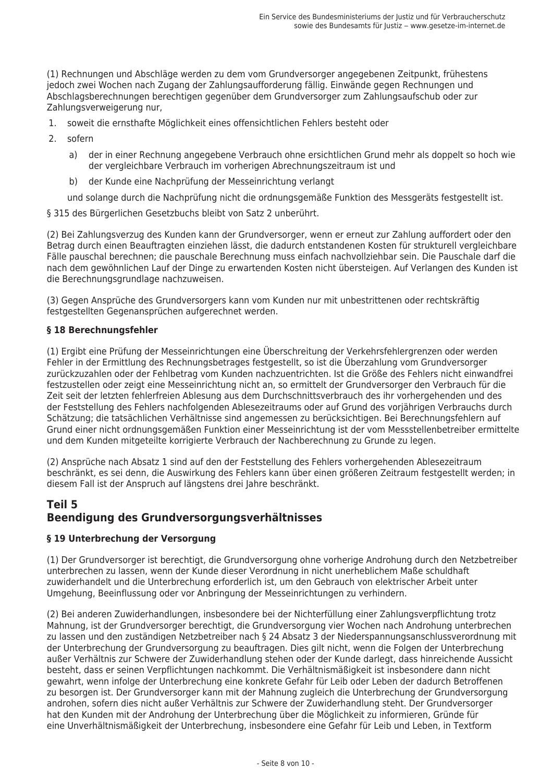(1) Rechnungen und Abschläge werden zu dem vom Grundversorger angegebenen Zeitpunkt, frühestens jedoch zwei Wochen nach Zugang der Zahlungsaufforderung fällig. Einwände gegen Rechnungen und Abschlagsberechnungen berechtigen gegenüber dem Grundversorger zum Zahlungsaufschub oder zur Zahlungsverweigerung nur,

- soweit die ernsthafte Möglichkeit eines offensichtlichen Fehlers besteht oder  $\mathbf{1}$
- $2.$ sofern
	- der in einer Rechnung angegebene Verbrauch ohne ersichtlichen Grund mehr als doppelt so hoch wie a) der vergleichbare Verbrauch im vorherigen Abrechnungszeitraum ist und
	- der Kunde eine Nachprüfung der Messeinrichtung verlangt b)

und solange durch die Nachprüfung nicht die ordnungsgemäße Funktion des Messgeräts festgestellt ist.

§ 315 des Bürgerlichen Gesetzbuchs bleibt von Satz 2 unberührt.

(2) Bei Zahlungsverzug des Kunden kann der Grundversorger, wenn er erneut zur Zahlung auffordert oder den Betrag durch einen Beauftragten einziehen lässt, die dadurch entstandenen Kosten für strukturell vergleichbare Fälle pauschal berechnen; die pauschale Berechnung muss einfach nachvollziehbar sein. Die Pauschale darf die nach dem gewöhnlichen Lauf der Dinge zu erwartenden Kosten nicht übersteigen. Auf Verlangen des Kunden ist die Berechnungsgrundlage nachzuweisen.

(3) Gegen Ansprüche des Grundversorgers kann vom Kunden nur mit unbestrittenen oder rechtskräftig festgestellten Gegenansprüchen aufgerechnet werden.

### § 18 Berechnungsfehler

(1) Ergibt eine Prüfung der Messeinrichtungen eine Überschreitung der Verkehrsfehlergrenzen oder werden Fehler in der Ermittlung des Rechnungsbetrages festgestellt, so ist die Überzahlung vom Grundversorger zurückzuzahlen oder der Fehlbetrag vom Kunden nachzuentrichten. Ist die Größe des Fehlers nicht einwandfrei festzustellen oder zeigt eine Messeinrichtung nicht an, so ermittelt der Grundversorger den Verbrauch für die Zeit seit der letzten fehlerfreien Ablesung aus dem Durchschnittsverbrauch des ihr vorhergehenden und des der Feststellung des Fehlers nachfolgenden Ablesezeitraums oder auf Grund des vorjährigen Verbrauchs durch Schätzung; die tatsächlichen Verhältnisse sind angemessen zu berücksichtigen. Bei Berechnungsfehlern auf Grund einer nicht ordnungsgemäßen Funktion einer Messeinrichtung ist der vom Messstellenbetreiber ermittelte und dem Kunden mitgeteilte korrigierte Verbrauch der Nachberechnung zu Grunde zu legen.

(2) Ansprüche nach Absatz 1 sind auf den der Feststellung des Fehlers vorhergehenden Ablesezeitraum beschränkt, es sei denn, die Auswirkung des Fehlers kann über einen größeren Zeitraum festgestellt werden; in diesem Fall ist der Anspruch auf längstens drei Jahre beschränkt.

# Teil 5 Beendiauna des Grundversoraunasverhältnisses

# § 19 Unterbrechung der Versorgung

(1) Der Grundversorger ist berechtigt, die Grundversorgung ohne vorherige Androhung durch den Netzbetreiber unterbrechen zu lassen, wenn der Kunde dieser Verordnung in nicht unerheblichem Maße schuldhaft zuwiderhandelt und die Unterbrechung erforderlich ist, um den Gebrauch von elektrischer Arbeit unter Umgehung, Beeinflussung oder vor Anbringung der Messeinrichtungen zu verhindern.

(2) Bei anderen Zuwiderhandlungen, insbesondere bei der Nichterfüllung einer Zahlungsverpflichtung trotz Mahnung, ist der Grundversorger berechtigt, die Grundversorgung vier Wochen nach Androhung unterbrechen zu lassen und den zuständigen Netzbetreiber nach § 24 Absatz 3 der Niederspannungsanschlussverordnung mit der Unterbrechung der Grundversorgung zu beauftragen. Dies gilt nicht, wenn die Folgen der Unterbrechung außer Verhältnis zur Schwere der Zuwiderhandlung stehen oder der Kunde darlegt, dass hinreichende Aussicht besteht, dass er seinen Verpflichtungen nachkommt. Die Verhältnismäßigkeit ist insbesondere dann nicht gewahrt, wenn infolge der Unterbrechung eine konkrete Gefahr für Leib oder Leben der dadurch Betroffenen zu besorgen ist. Der Grundversorger kann mit der Mahnung zugleich die Unterbrechung der Grundversorgung androhen, sofern dies nicht außer Verhältnis zur Schwere der Zuwiderhandlung steht. Der Grundversorger hat den Kunden mit der Androhung der Unterbrechung über die Möglichkeit zu informieren, Gründe für eine Unverhältnismäßigkeit der Unterbrechung, insbesondere eine Gefahr für Leib und Leben, in Textform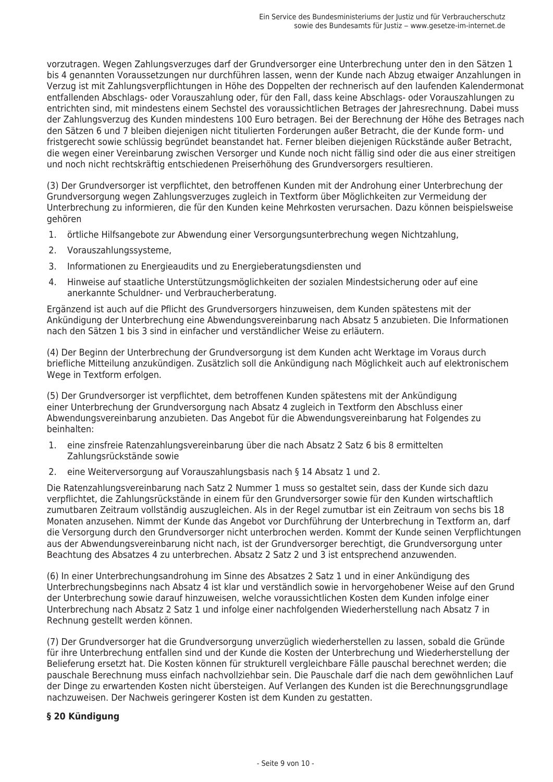vorzutragen. Wegen Zahlungsverzuges darf der Grundversorger eine Unterbrechung unter den in den Sätzen 1 bis 4 genannten Voraussetzungen nur durchführen lassen, wenn der Kunde nach Abzug etwaiger Anzahlungen in Verzug ist mit Zahlungsverpflichtungen in Höhe des Doppelten der rechnerisch auf den laufenden Kalendermonat entfallenden Abschlags- oder Vorauszahlung oder, für den Fall, dass keine Abschlags- oder Vorauszahlungen zu entrichten sind, mit mindestens einem Sechstel des voraussichtlichen Betrages der Jahresrechnung. Dabei muss der Zahlungsverzug des Kunden mindestens 100 Euro betragen. Bei der Berechnung der Höhe des Betrages nach den Sätzen 6 und 7 bleiben diejenigen nicht titulierten Forderungen außer Betracht, die der Kunde form- und fristgerecht sowie schlüssig begründet beanstandet hat. Ferner bleiben diejenigen Rückstände außer Betracht, die wegen einer Vereinbarung zwischen Versorger und Kunde noch nicht fällig sind oder die aus einer streitigen und noch nicht rechtskräftig entschiedenen Preiserhöhung des Grundversorgers resultieren.

(3) Der Grundversorger ist verpflichtet, den betroffenen Kunden mit der Androhung einer Unterbrechung der Grundversorgung wegen Zahlungsverzuges zugleich in Textform über Möglichkeiten zur Vermeidung der Unterbrechung zu informieren, die für den Kunden keine Mehrkosten verursachen. Dazu können beispielsweise gehören

- örtliche Hilfsangebote zur Abwendung einer Versorgungsunterbrechung wegen Nichtzahlung, 1.
- $2.$ Vorauszahlungssysteme.
- Informationen zu Energieaudits und zu Energieberatungsdiensten und  $\mathcal{L}$
- $\mathbf{\Delta}$ Hinweise auf staatliche Unterstützungsmöglichkeiten der sozialen Mindestsicherung oder auf eine anerkannte Schuldner- und Verbraucherberatung.

Ergänzend ist auch auf die Pflicht des Grundversorgers hinzuweisen, dem Kunden spätestens mit der Ankündigung der Unterbrechung eine Abwendungsvereinbarung nach Absatz 5 anzubieten. Die Informationen nach den Sätzen 1 bis 3 sind in einfacher und verständlicher Weise zu erläutern.

(4) Der Beginn der Unterbrechung der Grundversorgung ist dem Kunden acht Werktage im Voraus durch briefliche Mitteilung anzukündigen. Zusätzlich soll die Ankündigung nach Möglichkeit auch auf elektronischem Wege in Textform erfolgen.

(5) Der Grundversorger ist verpflichtet, dem betroffenen Kunden spätestens mit der Ankündigung einer Unterbrechung der Grundversorgung nach Absatz 4 zugleich in Textform den Abschluss einer Abwendungsvereinbarung anzubieten. Das Angebot für die Abwendungsvereinbarung hat Folgendes zu beinhalten:

- $\mathbf{1}$ eine zinsfreie Ratenzahlungsvereinbarung über die nach Absatz 2 Satz 6 bis 8 ermittelten Zahlungsrückstände sowie
- eine Weiterversorgung auf Vorauszahlungsbasis nach § 14 Absatz 1 und 2.  $2.$

Die Ratenzahlungsvereinbarung nach Satz 2 Nummer 1 muss so gestaltet sein, dass der Kunde sich dazu verpflichtet, die Zahlungsrückstände in einem für den Grundversorger sowie für den Kunden wirtschaftlich zumutbaren Zeitraum vollständig auszugleichen. Als in der Regel zumutbar ist ein Zeitraum von sechs bis 18 Monaten anzusehen. Nimmt der Kunde das Angebot vor Durchführung der Unterbrechung in Textform an, darf die Versorgung durch den Grundversorger nicht unterbrochen werden. Kommt der Kunde seinen Verpflichtungen aus der Abwendungsvereinbarung nicht nach, ist der Grundversorger berechtigt, die Grundversorgung unter Beachtung des Absatzes 4 zu unterbrechen. Absatz 2 Satz 2 und 3 ist entsprechend anzuwenden.

(6) In einer Unterbrechungsandrohung im Sinne des Absatzes 2 Satz 1 und in einer Ankündigung des Unterbrechungsbeginns nach Absatz 4 ist klar und verständlich sowie in hervorgehobener Weise auf den Grund der Unterbrechung sowie darauf hinzuweisen, welche voraussichtlichen Kosten dem Kunden infolge einer Unterbrechung nach Absatz 2 Satz 1 und infolge einer nachfolgenden Wiederherstellung nach Absatz 7 in Rechnung gestellt werden können.

(7) Der Grundversorger hat die Grundversorgung unverzüglich wiederherstellen zu lassen, sobald die Gründe für ihre Unterbrechung entfallen sind und der Kunde die Kosten der Unterbrechung und Wiederherstellung der Belieferung ersetzt hat. Die Kosten können für strukturell vergleichbare Fälle pauschal berechnet werden; die pauschale Berechnung muss einfach nachvollziehbar sein. Die Pauschale darf die nach dem gewöhnlichen Lauf der Dinge zu erwartenden Kosten nicht übersteigen. Auf Verlangen des Kunden ist die Berechnungsgrundlage nachzuweisen. Der Nachweis geringerer Kosten ist dem Kunden zu gestatten.

#### § 20 Kündigung